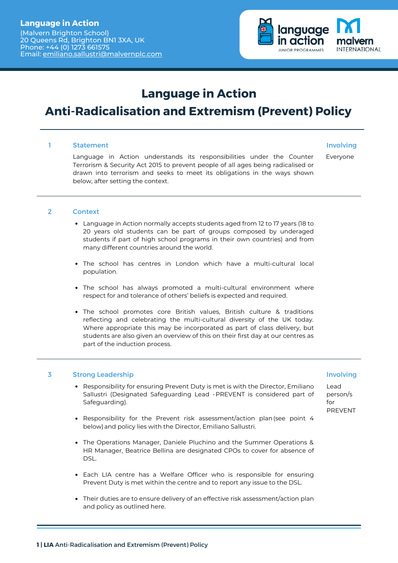Email: [emiliano.sallustri@malvernplc.com](mailto:emiliano.sallustri@malvernplc.com)



## **Language in Action**

# **Anti-Radicalisation and Extremism (Prevent) Policy**

#### Statement 1 Statement and the statement of the statement of the statement of the statement of the statement of the statement

Language in Action understands its responsibilities under the Counter Terrorism & Security Act 2015 to prevent people of all ages being radicalised or drawn into terrorism and seeks to meet its obligations in the ways shown below, after setting the context.

Everyone

#### **Context** 2

- Language in Action normally accepts students aged from 12 to 17 years (18 to 20 years old students can be part of groups composed by underaged students if part of high school programs in their own countries) and from many different countries around the world.
- The school has centres in London which have a multi-cultural local population.
- The school has always promoted a multi-cultural environment where respect for and tolerance of others' beliefs is expected and required.
- The school promotes core British values, British culture & traditions reflecting and celebrating the multi-cultural diversity of the UK today. Where appropriate this may be incorporated as part of class delivery, but students are also given an overview of this on their first day at our centres as part of the induction process.

### Strong Leadership 3 Involving

- Responsibility for ensuring Prevent Duty is met is with the Director, Emiliano Sallustri (Designated Safeguarding Lead -PREVENT is considered part of Safeguarding).
- Responsibility for the Prevent risk assessment/action plan (see point 4 below)and policy lies with the Director, Emiliano Sallustri.
- The Operations Manager, Daniele Pluchino and the Summer Operations & HR Manager, Beatrice Bellina are designated CPOs to cover for absence of DSL.
- Each LIA centre has a Welfare Officer who is responsible for ensuring Prevent Duty is met within the centre and to report any issue to the DSL.
- Their duties are to ensure delivery of an effective risk assessment/action plan and policy as outlined here.

Lead person/s for PREVENT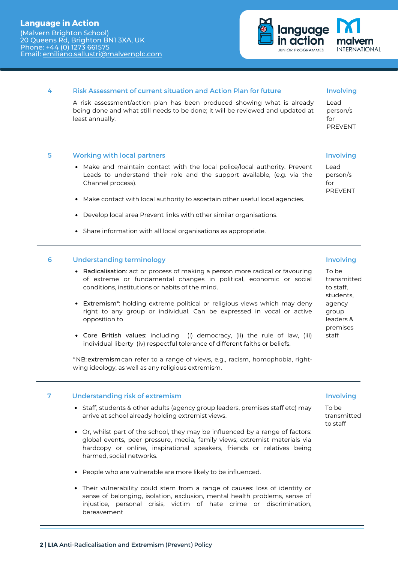(Malvern Brighton School) 20 Queens Rd, Brighton BN1 3XA, UK Phone: +44 (0) 1273 661575 Email: [emiliano.sallustri@malvernplc.com](mailto:emiliano.sallustri@malvernplc.com)



### Risk Assessment of current situation and Action Plan for future 4

A risk assessment/action plan has been produced showing what is already being done and what still needs to be done; it will be reviewed and updated at least annually.

#### Working with local partners 5

- Make and maintain contact with the local police/local authority. Prevent Leads to understand their role and the support available, (e.g. via the Channel process).
- Make contact with local authority to ascertain other useful local agencies.
- Develop local area Prevent links with other similar organisations.
- Share information with all local organisations as appropriate.

#### Understanding terminology 6

- Radicalisation: act or process of making a person more radical or favouring of extreme or fundamental changes in political, economic or social conditions, institutions or habits of the mind.
- Extremism\*: holding extreme political or religious views which may deny right to any group or individual. Can be expressed in vocal or active opposition to
- Core British values: including (i) democracy, (ii) the rule of law, (iii) individual liberty (iv) respectful tolerance of different faiths or beliefs.

\*NB:extremismcan refer to a range of views, e.g., racism, homophobia, rightwing ideology, as well as any religious extremism.

#### Understanding risk of extremism 7

- Staff, students & other adults (agency group leaders, premises staff etc) may arrive at school already holding extremist views.
- Or, whilst part of the school, they may be influenced by a range of factors: global events, peer pressure, media, family views, extremist materials via hardcopy or online, inspirational speakers, friends or relatives being harmed, social networks.
- People who are vulnerable are more likely to be influenced.
- Their vulnerability could stem from a range of causes: loss of identity or sense of belonging, isolation, exclusion, mental health problems, sense of injustice, personal crisis, victim of hate crime or discrimination, bereavement

### Involving

Lead person/s for PREVENT

### Involving

Lead person/s  $f \cap r$ PREVENT

### Involving

To be transmitted to staff, students, agency group leaders & premises staff

### Involving

To be transmitted to staff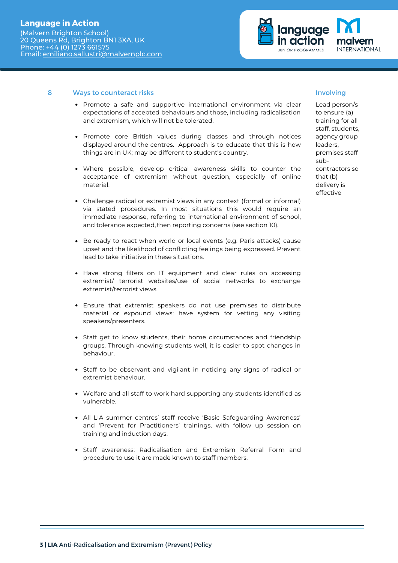

### Ways to counteract risks 8 Involving

- Promote a safe and supportive international environment via clear expectations of accepted behaviours and those, including radicalisation and extremism, which will not be tolerated.
- Promote core British values during classes and through notices displayed around the centres. Approach is to educate that this is how things are in UK; may be different to student's country.
- Where possible, develop critical awareness skills to counter the acceptance of extremism without question, especially of online material.
- Challenge radical or extremist views in any context (formal or informal) via stated procedures. In most situations this would require an immediate response, referring to international environment of school, and tolerance expected, then reporting concerns (see section 10).
- Be ready to react when world or local events (e.g. Paris attacks) cause upset and the likelihood of conflicting feelings being expressed. Prevent lead to take initiative in these situations.
- Have strong filters on IT equipment and clear rules on accessing extremist/ terrorist websites/use of social networks to exchange extremist/terrorist views.
- Ensure that extremist speakers do not use premises to distribute material or expound views; have system for vetting any visiting speakers/presenters.
- Staff get to know students, their home circumstances and friendship groups. Through knowing students well, it is easier to spot changes in behaviour.
- Staff to be observant and vigilant in noticing any signs of radical or extremist behaviour.
- Welfare and all staff to work hard supporting any students identified as vulnerable.
- All LIA summer centres' staff receive 'Basic Safeguarding Awareness' and 'Prevent for Practitioners' trainings, with follow up session on training and induction days.
- Staff awareness: Radicalisation and Extremism Referral Form and procedure to use it are made known to staff members.

Lead person/s to ensure (a) training for all staff, students, agency group leaders, premises staff subcontractors so that (b) delivery is effective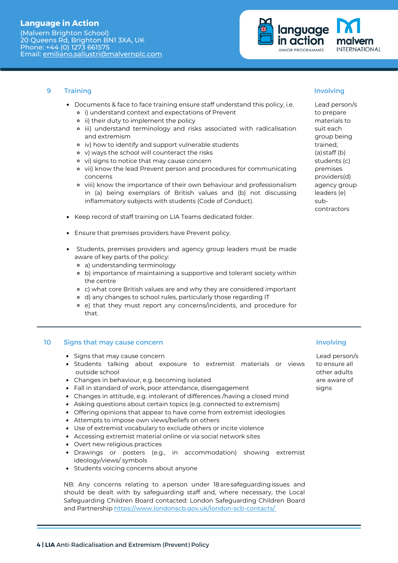(Malvern Brighton School) 20 Queens Rd, Brighton BN1 3XA, UK Phone: +44 (0) 1273 661575 Email: [emiliano.sallustri@malvernplc.com](mailto:emiliano.sallustri@malvernplc.com)



#### **Training** 9

- Documents & face to face training ensure staff understand this policy, i.e. i) understand context and expectations of Prevent
	- ii) their duty to implement the policy
	- iii) understand terminology and risks associated with radicalisation and extremism
	- iv) how to identify and support vulnerable students
	- v) ways the school will counteract the risks
	- vi) signs to notice that may cause concern
	- vii) know the lead Prevent person and procedures for communicating concerns
	- viii) know the importance of their own behaviour and professionalism in (a) being exemplars of British values and (b) not discussing inflammatory subjects with students (Code of Conduct).
- Keep record of staff training on LIA Teams dedicated folder.
- Ensure that premises providers have Prevent policy.
- Students, premises providers and agency group leaders must be made aware of key parts of the policy:
	- a) understanding terminology
	- b) importance of maintaining a supportive and tolerant society within the centre
	- c) what core British values are and why they are considered important
	- d) any changes to school rules, particularly those regarding IT
	- e) that they must report any concerns/incidents, and procedure for that.

#### Signs that may cause concern 10

- Signs that may cause concern
- Students talking about exposure to extremist materials or views outside school
- Changes in behaviour, e.g. becoming isolated
- Fall in standard of work, poor attendance, disengagement
- Changes in attitude, e.g. intolerant of differences /having a closed mind
- Asking questions about certain topics (e.g. connected to extremism)
- Offering opinions that appear to have come from extremist ideologies
- Attempts to impose own views/beliefs on others
- Use of extremist vocabulary to exclude others or incite violence
- Accessing extremist material online or via social network sites
- Overt new religious practices
- Drawings or posters (e.g., in accommodation) showing extremist ideology/views/ symbols
- Students voicing concerns about anyone

NB: Any concerns relating to aperson under 18aresafeguardingissues and should be dealt with by safeguarding staff and, where necessary, the Local Safeguarding Children Board contacted: London Safeguarding Children Board and Partnership <https://www.londonscb.gov.uk/london-scb-contacts/>

## Involving

Lead person/s to prepare materials to suit each group being trained; (a) staff (b) students (c) premises providers(d) agency group leaders (e) subcontractors

### Involving

Lead person/s to ensure all other adults are aware of signs